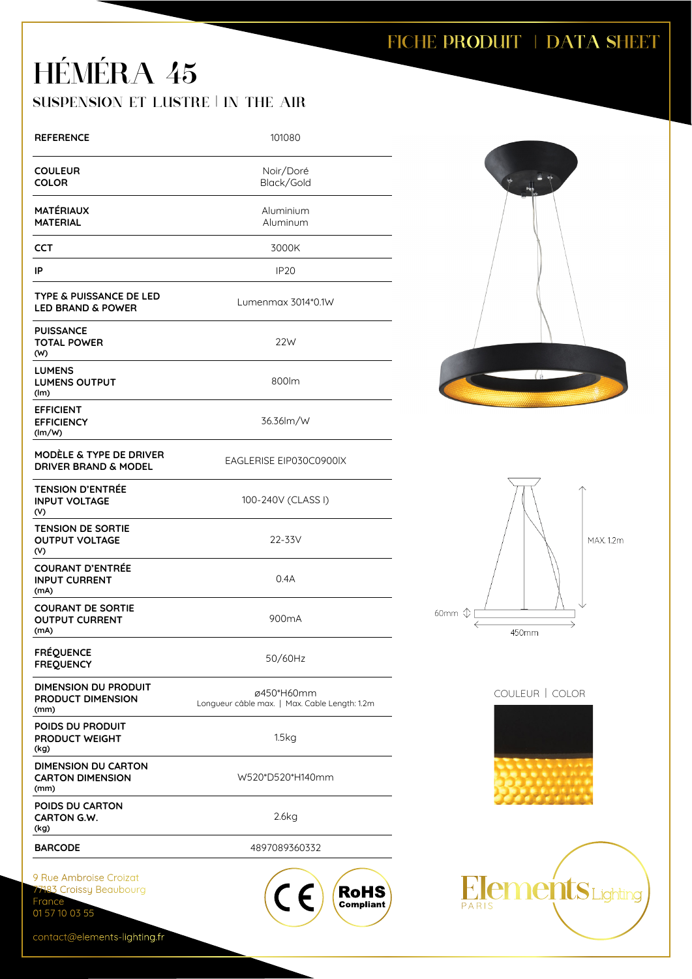### FICHE PRODUIT | DATA SHEET

# HÉMÉRA 45 SUSPENSION ET LUSTRE | IN THE AIR

| 9 Rue Ambroise Croizat<br>77183 Croissy Beaubourg<br>France           | $(C\epsilon)$<br>$\left(\begin{array}{c}\n\text{RoHS} \\ \text{Compliant}\n\end{array}\right)$ |
|-----------------------------------------------------------------------|------------------------------------------------------------------------------------------------|
| <b>BARCODE</b>                                                        | 4897089360332                                                                                  |
| POIDS DU CARTON<br><b>CARTON G.W.</b><br>(kg)                         | 2.6kg                                                                                          |
| <b>DIMENSION DU CARTON</b><br><b>CARTON DIMENSION</b><br>(mm)         | W520*D520*H140mm                                                                               |
| POIDS DU PRODUIT<br><b>PRODUCT WEIGHT</b><br>(kg)                     | 1.5kg                                                                                          |
| <b>DIMENSION DU PRODUIT</b><br><b>PRODUCT DIMENSION</b><br>(mm)       | ø450*H60mm<br>Longueur câble max.   Max. Cable Length: 1.2m                                    |
| <b>FRÉQUENCE</b><br><b>FREQUENCY</b>                                  | 50/60Hz                                                                                        |
| <b>COURANT DE SORTIE</b><br><b>OUTPUT CURRENT</b><br>(mA)             | 900 <sub>m</sub> A                                                                             |
| <b>COURANT D'ENTRÉE</b><br><b>INPUT CURRENT</b><br>(mA)               | 0.4A                                                                                           |
| <b>TENSION DE SORTIE</b><br><b>OUTPUT VOLTAGE</b><br>(V)              | 22-33V                                                                                         |
| <b>TENSION D'ENTREE</b><br><b>INPUT VOLTAGE</b><br>(V)                | 100-240V (CLASS I)                                                                             |
| <b>MODÈLE &amp; TYPE DE DRIVER</b><br><b>DRIVER BRAND &amp; MODEL</b> | EAGLERISE EIP030C0900IX                                                                        |
| <b>EFFICIENT</b><br><b>EFFICIENCY</b><br>(lm/W)                       | 36.36lm/W                                                                                      |
| <b>LUMENS</b><br><b>LUMENS OUTPUT</b><br>(lm)                         | 800lm                                                                                          |
| <b>PUISSANCE</b><br><b>TOTAL POWER</b><br>(W)                         | 22W                                                                                            |
| TYPE & PUISSANCE DE LED<br><b>LED BRAND &amp; POWER</b>               | Lumenmax 3014*0.1W                                                                             |
| IP                                                                    | <b>IP20</b>                                                                                    |
| <b>CCT</b>                                                            | 3000K                                                                                          |
| <b>MATÉRIAUX</b><br><b>MATERIAL</b>                                   | Aluminium<br>Aluminum                                                                          |
| <b>COULEUR</b><br><b>COLOR</b>                                        | Noir/Doré<br>Black/Gold                                                                        |
| <b>REFERENCE</b>                                                      | 101080                                                                                         |





COULEUR | COLOR





contact@elements-lighting.fr

01 57 10 03 55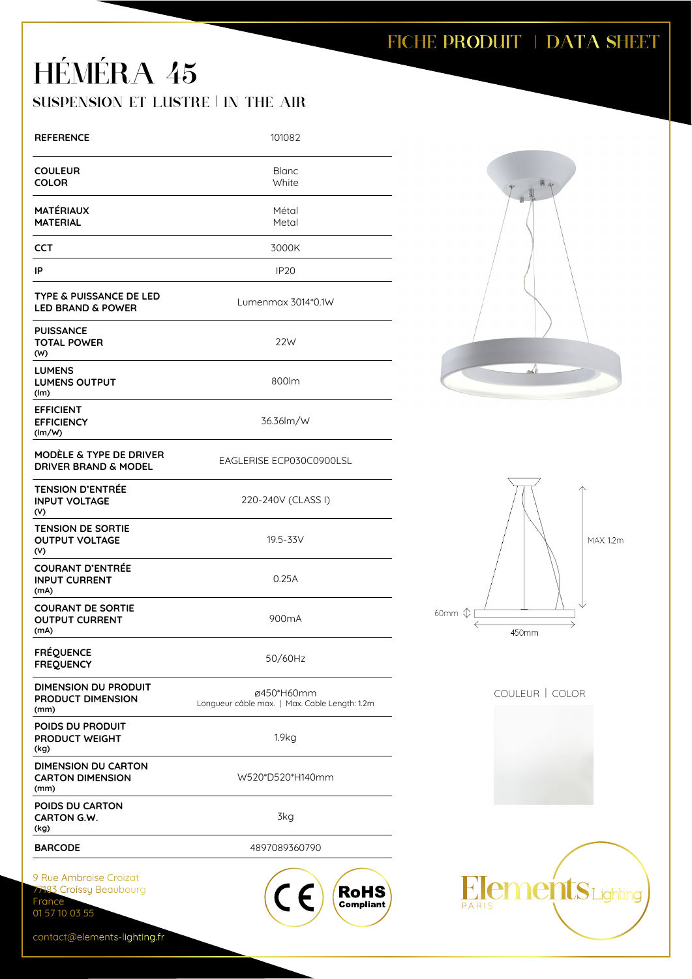### FICHE PRODUIT | DATA SHEET

# HÉMÉRA 45 SUSPENSION ET LUSTRE | IN THE AIR

| <b>REFERENCE</b>                                                   | 101082                                                              |
|--------------------------------------------------------------------|---------------------------------------------------------------------|
| <b>COULEUR</b><br><b>COLOR</b>                                     | <b>Blanc</b><br>White                                               |
| <b>MATÉRIAUX</b><br><b>MATERIAL</b>                                | Métal<br>Metal                                                      |
| <b>CCT</b>                                                         | 3000K                                                               |
| IP                                                                 | <b>IP20</b>                                                         |
| <b>TYPE &amp; PUISSANCE DE LED</b><br><b>LED BRAND &amp; POWER</b> | Lumenmax 3014*0.1W                                                  |
| <b>PUISSANCE</b><br><b>TOTAL POWER</b><br>(W)                      | 22W                                                                 |
| <b>LUMENS</b><br><b>LUMENS OUTPUT</b><br>(lm)                      | 800lm                                                               |
| <b>EFFICIENT</b><br><b>EFFICIENCY</b><br>(lm/W)                    | 36.36lm/W                                                           |
| MODELE & TYPE DE DRIVER<br><b>DRIVER BRAND &amp; MODEL</b>         | EAGLERISE ECP030C0900LSL                                            |
| <b>TENSION D'ENTRÉE</b><br><b>INPUT VOLTAGE</b><br>(V)             | 220-240V (CLASS I)                                                  |
| <b>TENSION DE SORTIE</b><br><b>OUTPUT VOLTAGE</b><br>(V)           | 19.5-33V                                                            |
| <b>COURANT D'ENTRÉE</b><br><b>INPUT CURRENT</b><br>(mA)            | 0.25A                                                               |
| <b>COURANT DE SORTIE</b><br><b>OUTPUT CURRENT</b><br>(mA)          | 900 <sub>m</sub> A                                                  |
| <b>FRÉQUENCE</b><br><b>FREQUENCY</b>                               | 50/60Hz                                                             |
| <b>DIMENSION DU PRODUIT</b><br><b>PRODUCT DIMENSION</b><br>(mm)    | ø450*H60mm<br>Longueur câble max.   Max. Cable Length: 1.2m         |
| POIDS DU PRODUIT<br><b>PRODUCT WEIGHT</b><br>(kg)                  | 1.9 <sub>kg</sub>                                                   |
| <b>DIMENSION DU CARTON</b><br><b>CARTON DIMENSION</b><br>(mm)      | W520*D520*H140mm                                                    |
| POIDS DU CARTON<br>CARTON G.W.<br>(kg)                             | 3kg                                                                 |
| <b>BARCODE</b>                                                     | 4897089360790                                                       |
| 9 Rue Ambroise Croizat                                             |                                                                     |
| 77183 Croissy Beaubourg<br>France                                  | $\overline{CC}$<br>$\left(\text{RoHS}\atop \text{Compliant}\right)$ |
|                                                                    |                                                                     |





COULEUR | COLOR





contact@elements-lighting.fr

01 57 10 03 55